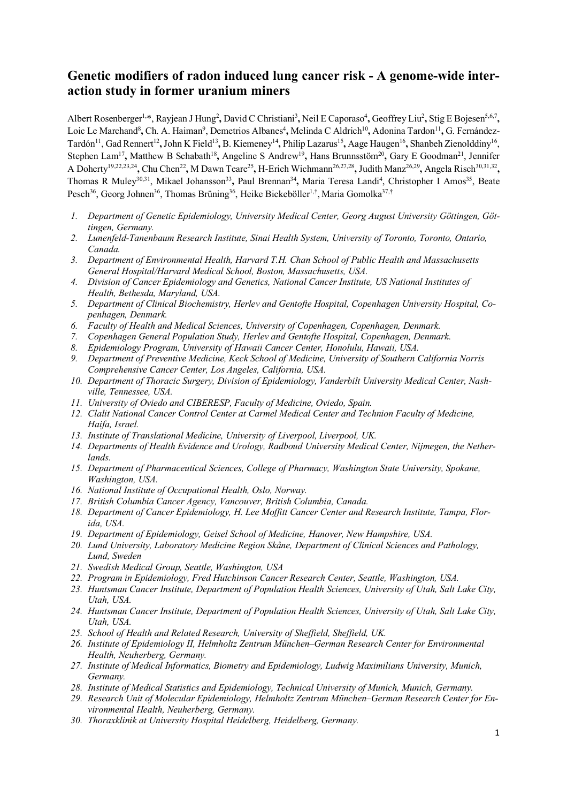# **Genetic modifiers of radon induced lung cancer risk - A genome-wide interaction study in former uranium miners**

Albert Rosenberger<sup>1,\*</sup>, Rayjean J Hung<sup>2</sup>, David C Christiani<sup>3</sup>, Neil E Caporaso<sup>4</sup>, Geoffrey Liu<sup>2</sup>, Stig E Bojesen<sup>5,6,7</sup>, Loic Le Marchand<sup>8</sup>, Ch. A. Haiman<sup>9</sup>, Demetrios Albanes<sup>4</sup>, Melinda C Aldrich<sup>10</sup>, Adonina Tardon<sup>11</sup>, G. Fernández-Tardón<sup>11</sup>, Gad Rennert<sup>12</sup>, John K Field<sup>13</sup>, B. Kiemeney<sup>14</sup>, Philip Lazarus<sup>15</sup>, Aage Haugen<sup>16</sup>, Shanbeh Zienolddiny<sup>16</sup>, Stephen Lam<sup>17</sup>, Matthew B Schabath<sup>18</sup>, Angeline S Andrew<sup>19</sup>, Hans Brunnsstöm<sup>20</sup>, Gary E Goodman<sup>21</sup>, Jennifer A Doherty19,22,23,24**,** Chu Chen22**,** M Dawn Teare25**,** H-Erich Wichmann26,27,28**,** Judith Manz26,29**,** Angela Risch30,31,32**,** Thomas R Muley<sup>30,31</sup>, Mikael Johansson<sup>33</sup>, Paul Brennan<sup>34</sup>, Maria Teresa Landi<sup>4</sup>, Christopher I Amos<sup>35</sup>, Beate Pesch<sup>36</sup>, Georg Johnen<sup>36</sup>, Thomas Brüning<sup>36</sup>, Heike Bickeböller<sup>1,†</sup>, Maria Gomolka<sup>37,†</sup>

- *1. Department of Genetic Epidemiology, University Medical Center, Georg August University Göttingen, Göttingen, Germany.*
- *2. Lunenfeld-Tanenbaum Research Institute, Sinai Health System, University of Toronto, Toronto, Ontario, Canada.*
- *3. Department of Environmental Health, Harvard T.H. Chan School of Public Health and Massachusetts General Hospital/Harvard Medical School, Boston, Massachusetts, USA.*
- *4. Division of Cancer Epidemiology and Genetics, National Cancer Institute, US National Institutes of Health, Bethesda, Maryland, USA.*
- *5. Department of Clinical Biochemistry, Herlev and Gentofte Hospital, Copenhagen University Hospital, Copenhagen, Denmark.*
- *6. Faculty of Health and Medical Sciences, University of Copenhagen, Copenhagen, Denmark.*
- *7. Copenhagen General Population Study, Herlev and Gentofte Hospital, Copenhagen, Denmark.*
- *8. Epidemiology Program, University of Hawaii Cancer Center, Honolulu, Hawaii, USA.*
- *9. Department of Preventive Medicine, Keck School of Medicine, University of Southern California Norris Comprehensive Cancer Center, Los Angeles, California, USA.*
- *10. Department of Thoracic Surgery, Division of Epidemiology, Vanderbilt University Medical Center, Nashville, Tennessee, USA.*
- *11. University of Oviedo and CIBERESP, Faculty of Medicine, Oviedo, Spain.*
- *12. Clalit National Cancer Control Center at Carmel Medical Center and Technion Faculty of Medicine, Haifa, Israel.*
- *13. Institute of Translational Medicine, University of Liverpool, Liverpool, UK.*
- *14. Departments of Health Evidence and Urology, Radboud University Medical Center, Nijmegen, the Netherlands.*
- *15. Department of Pharmaceutical Sciences, College of Pharmacy, Washington State University, Spokane, Washington, USA.*
- *16. National Institute of Occupational Health, Oslo, Norway.*
- *17. British Columbia Cancer Agency, Vancouver, British Columbia, Canada.*
- *18. Department of Cancer Epidemiology, H. Lee Moffitt Cancer Center and Research Institute, Tampa, Florida, USA.*
- *19. Department of Epidemiology, Geisel School of Medicine, Hanover, New Hampshire, USA.*
- *20. Lund University, Laboratory Medicine Region Skåne, Department of Clinical Sciences and Pathology, Lund, Sweden*
- *21. Swedish Medical Group, Seattle, Washington, USA*
- *22. Program in Epidemiology, Fred Hutchinson Cancer Research Center, Seattle, Washington, USA.*
- *23. Huntsman Cancer Institute, Department of Population Health Sciences, University of Utah, Salt Lake City, Utah, USA.*
- *24. Huntsman Cancer Institute, Department of Population Health Sciences, University of Utah, Salt Lake City, Utah, USA.*
- *25. School of Health and Related Research, University of Sheffield, Sheffield, UK.*
- *26. Institute of Epidemiology II, Helmholtz Zentrum München–German Research Center for Environmental Health, Neuherberg, Germany.*
- *27. Institute of Medical Informatics, Biometry and Epidemiology, Ludwig Maximilians University, Munich, Germany.*
- *28. Institute of Medical Statistics and Epidemiology, Technical University of Munich, Munich, Germany.*
- *29. Research Unit of Molecular Epidemiology, Helmholtz Zentrum München–German Research Center for Environmental Health, Neuherberg, Germany.*
- *30. Thoraxklinik at University Hospital Heidelberg, Heidelberg, Germany.*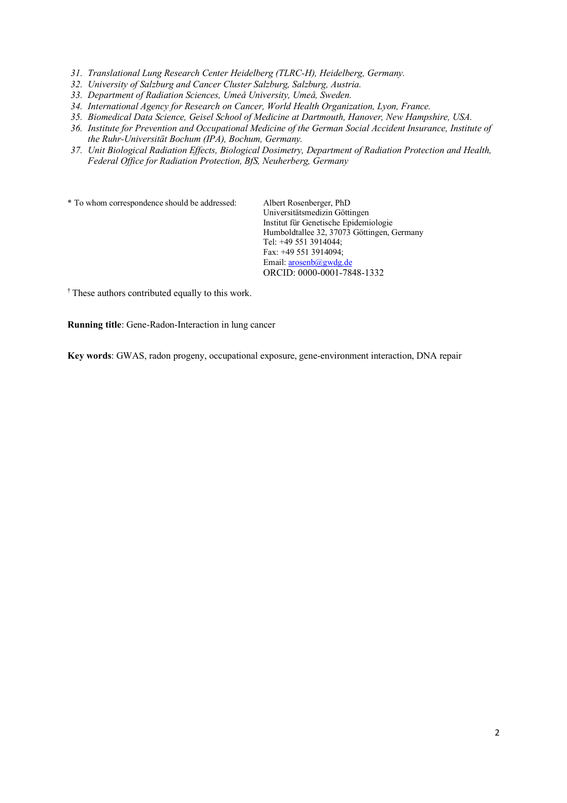- *31. Translational Lung Research Center Heidelberg (TLRC-H), Heidelberg, Germany.*
- *32. University of Salzburg and Cancer Cluster Salzburg, Salzburg, Austria.*
- *33. Department of Radiation Sciences, Umeå University, Umeå, Sweden.*
- *34. International Agency for Research on Cancer, World Health Organization, Lyon, France.*
- *35. Biomedical Data Science, Geisel School of Medicine at Dartmouth, Hanover, New Hampshire, USA.*
- *36. Institute for Prevention and Occupational Medicine of the German Social Accident Insurance, Institute of the Ruhr-Universität Bochum (IPA), Bochum, Germany.*
- *37. Unit Biological Radiation Effects, Biological Dosimetry, Department of Radiation Protection and Health, Federal Office for Radiation Protection, BfS, Neuherberg, Germany*

\* To whom correspondence should be addressed: Albert Rosenberger, PhD

Universitätsmedizin Göttingen Institut für Genetische Epidemiologie Humboldtallee 32, 37073 Göttingen, Germany Tel: +49 551 3914044; Fax: +49 551 3914094; Email: arosenb@gwdg.de ORCID: 0000-0001-7848-1332

† These authors contributed equally to this work.

**Running title**: Gene-Radon-Interaction in lung cancer

**Key words**: GWAS, radon progeny, occupational exposure, gene-environment interaction, DNA repair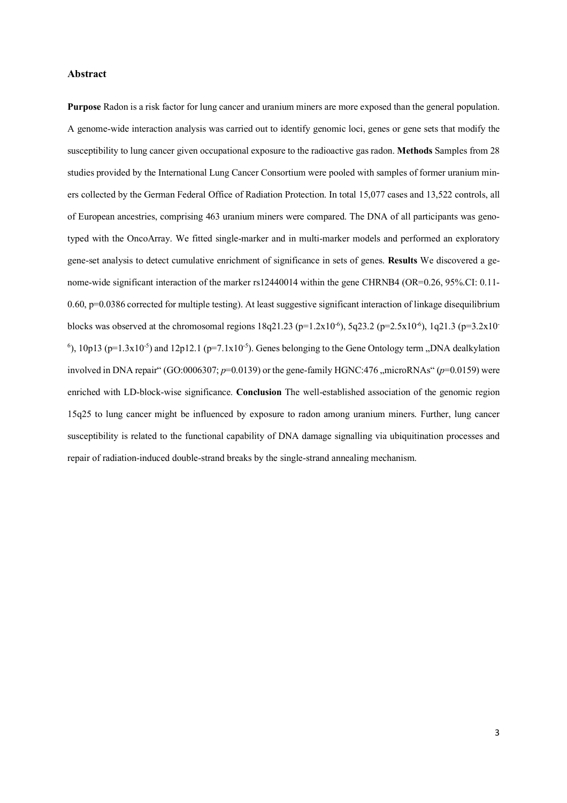## **Abstract**

**Purpose** Radon is a risk factor for lung cancer and uranium miners are more exposed than the general population. A genome-wide interaction analysis was carried out to identify genomic loci, genes or gene sets that modify the susceptibility to lung cancer given occupational exposure to the radioactive gas radon. **Methods** Samples from 28 studies provided by the International Lung Cancer Consortium were pooled with samples of former uranium miners collected by the German Federal Office of Radiation Protection. In total 15,077 cases and 13,522 controls, all of European ancestries, comprising 463 uranium miners were compared. The DNA of all participants was genotyped with the OncoArray. We fitted single-marker and in multi-marker models and performed an exploratory gene-set analysis to detect cumulative enrichment of significance in sets of genes. **Results** We discovered a genome-wide significant interaction of the marker rs12440014 within the gene CHRNB4 (OR=0.26, 95%.CI: 0.11-  $0.60$ ,  $p=0.0386$  corrected for multiple testing). At least suggestive significant interaction of linkage disequilibrium blocks was observed at the chromosomal regions  $18q21.23$  (p= $1.2x10^{-6}$ ),  $5q23.2$  (p= $2.5x10^{-6}$ ),  $1q21.3$  (p= $3.2x10^{-6}$ )  $^{6}$ ), 10p13 (p=1.3x10<sup>-5</sup>) and 12p12.1 (p=7.1x10<sup>-5</sup>). Genes belonging to the Gene Ontology term "DNA dealkylation involved in DNA repair" (GO:0006307;  $p=0.0139$ ) or the gene-family HGNC:476 "microRNAs" ( $p=0.0159$ ) were enriched with LD-block-wise significance. **Conclusion** The well-established association of the genomic region 15q25 to lung cancer might be influenced by exposure to radon among uranium miners. Further, lung cancer susceptibility is related to the functional capability of DNA damage signalling via ubiquitination processes and repair of radiation-induced double-strand breaks by the single-strand annealing mechanism.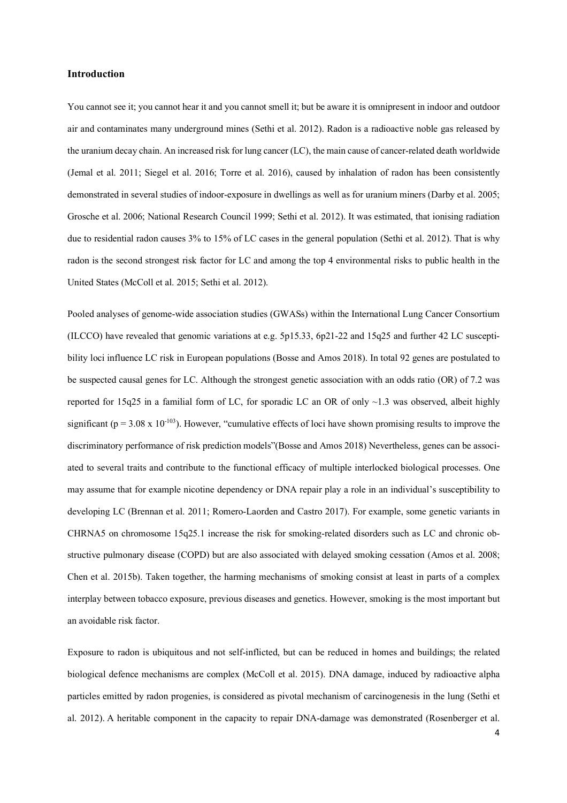## **Introduction**

You cannot see it; you cannot hear it and you cannot smell it; but be aware it is omnipresent in indoor and outdoor air and contaminates many underground mines (Sethi et al. 2012). Radon is a radioactive noble gas released by the uranium decay chain. An increased risk for lung cancer (LC), the main cause of cancer-related death worldwide (Jemal et al. 2011; Siegel et al. 2016; Torre et al. 2016), caused by inhalation of radon has been consistently demonstrated in several studies of indoor-exposure in dwellings as well as for uranium miners (Darby et al. 2005; Grosche et al. 2006; National Research Council 1999; Sethi et al. 2012). It was estimated, that ionising radiation due to residential radon causes 3% to 15% of LC cases in the general population (Sethi et al. 2012). That is why radon is the second strongest risk factor for LC and among the top 4 environmental risks to public health in the United States (McColl et al. 2015; Sethi et al. 2012).

Pooled analyses of genome-wide association studies (GWASs) within the International Lung Cancer Consortium (ILCCO) have revealed that genomic variations at e.g. 5p15.33, 6p21-22 and 15q25 and further 42 LC susceptibility loci influence LC risk in European populations (Bosse and Amos 2018). In total 92 genes are postulated to be suspected causal genes for LC. Although the strongest genetic association with an odds ratio (OR) of 7.2 was reported for 15q25 in a familial form of LC, for sporadic LC an OR of only ~1.3 was observed, albeit highly significant ( $p = 3.08 \times 10^{-103}$ ). However, "cumulative effects of loci have shown promising results to improve the discriminatory performance of risk prediction models"(Bosse and Amos 2018) Nevertheless, genes can be associated to several traits and contribute to the functional efficacy of multiple interlocked biological processes. One may assume that for example nicotine dependency or DNA repair play a role in an individual's susceptibility to developing LC (Brennan et al. 2011; Romero-Laorden and Castro 2017). For example, some genetic variants in CHRNA5 on chromosome 15q25.1 increase the risk for smoking-related disorders such as LC and chronic obstructive pulmonary disease (COPD) but are also associated with delayed smoking cessation (Amos et al. 2008; Chen et al. 2015b). Taken together, the harming mechanisms of smoking consist at least in parts of a complex interplay between tobacco exposure, previous diseases and genetics. However, smoking is the most important but an avoidable risk factor.

Exposure to radon is ubiquitous and not self-inflicted, but can be reduced in homes and buildings; the related biological defence mechanisms are complex (McColl et al. 2015). DNA damage, induced by radioactive alpha particles emitted by radon progenies, is considered as pivotal mechanism of carcinogenesis in the lung (Sethi et al. 2012). A heritable component in the capacity to repair DNA-damage was demonstrated (Rosenberger et al.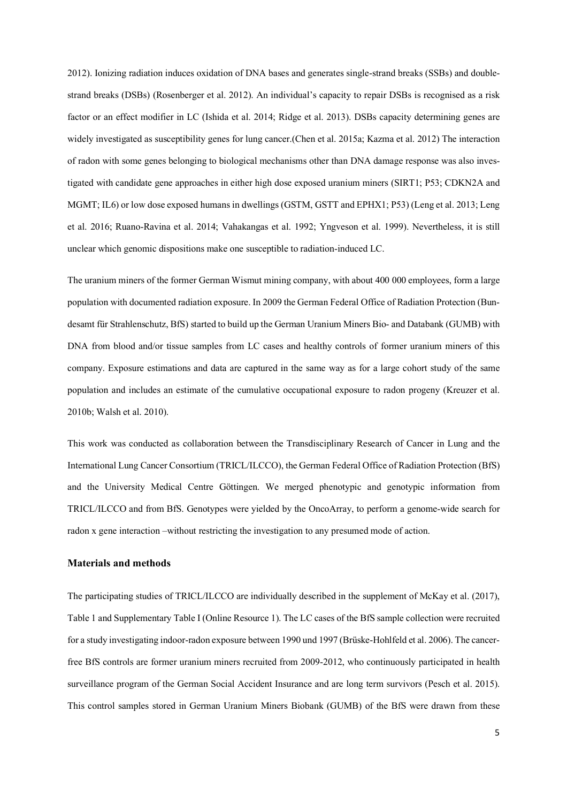2012). Ionizing radiation induces oxidation of DNA bases and generates single-strand breaks (SSBs) and doublestrand breaks (DSBs) (Rosenberger et al. 2012). An individual's capacity to repair DSBs is recognised as a risk factor or an effect modifier in LC (Ishida et al. 2014; Ridge et al. 2013). DSBs capacity determining genes are widely investigated as susceptibility genes for lung cancer. (Chen et al. 2015a; Kazma et al. 2012) The interaction of radon with some genes belonging to biological mechanisms other than DNA damage response was also investigated with candidate gene approaches in either high dose exposed uranium miners (SIRT1; P53; CDKN2A and MGMT; IL6) or low dose exposed humans in dwellings (GSTM, GSTT and EPHX1; P53) (Leng et al. 2013; Leng et al. 2016; Ruano-Ravina et al. 2014; Vahakangas et al. 1992; Yngveson et al. 1999). Nevertheless, it is still unclear which genomic dispositions make one susceptible to radiation-induced LC.

The uranium miners of the former German Wismut mining company, with about 400 000 employees, form a large population with documented radiation exposure. In 2009 the German Federal Office of Radiation Protection (Bundesamt für Strahlenschutz, BfS) started to build up the German Uranium Miners Bio- and Databank (GUMB) with DNA from blood and/or tissue samples from LC cases and healthy controls of former uranium miners of this company. Exposure estimations and data are captured in the same way as for a large cohort study of the same population and includes an estimate of the cumulative occupational exposure to radon progeny (Kreuzer et al. 2010b; Walsh et al. 2010).

This work was conducted as collaboration between the Transdisciplinary Research of Cancer in Lung and the International Lung Cancer Consortium (TRICL/ILCCO), the German Federal Office of Radiation Protection (BfS) and the University Medical Centre Göttingen. We merged phenotypic and genotypic information from TRICL/ILCCO and from BfS. Genotypes were yielded by the OncoArray, to perform a genome-wide search for radon x gene interaction –without restricting the investigation to any presumed mode of action.

## **Materials and methods**

The participating studies of TRICL/ILCCO are individually described in the supplement of McKay et al. (2017), Table 1 and Supplementary Table I (Online Resource 1). The LC cases of the BfS sample collection were recruited for a study investigating indoor-radon exposure between 1990 und 1997 (Brüske-Hohlfeld et al. 2006). The cancerfree BfS controls are former uranium miners recruited from 2009-2012, who continuously participated in health surveillance program of the German Social Accident Insurance and are long term survivors (Pesch et al. 2015). This control samples stored in German Uranium Miners Biobank (GUMB) of the BfS were drawn from these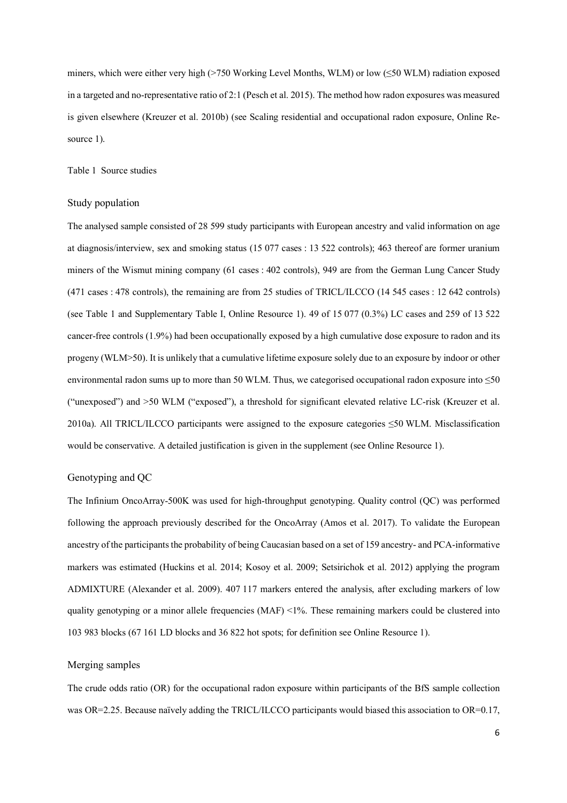miners, which were either very high (>750 Working Level Months, WLM) or low (≤50 WLM) radiation exposed in a targeted and no-representative ratio of 2:1 (Pesch et al. 2015). The method how radon exposures was measured is given elsewhere (Kreuzer et al. 2010b) (see Scaling residential and occupational radon exposure, Online Resource 1).

Table 1 Source studies

## Study population

The analysed sample consisted of 28 599 study participants with European ancestry and valid information on age at diagnosis/interview, sex and smoking status (15 077 cases : 13 522 controls); 463 thereof are former uranium miners of the Wismut mining company (61 cases : 402 controls), 949 are from the German Lung Cancer Study (471 cases : 478 controls), the remaining are from 25 studies of TRICL/ILCCO (14 545 cases : 12 642 controls) (see Table 1 and Supplementary Table I, Online Resource 1). 49 of 15 077 (0.3%) LC cases and 259 of 13 522 cancer-free controls (1.9%) had been occupationally exposed by a high cumulative dose exposure to radon and its progeny (WLM>50). It is unlikely that a cumulative lifetime exposure solely due to an exposure by indoor or other environmental radon sums up to more than 50 WLM. Thus, we categorised occupational radon exposure into  $\leq 50$ ("unexposed") and >50 WLM ("exposed"), a threshold for significant elevated relative LC-risk (Kreuzer et al. 2010a). All TRICL/ILCCO participants were assigned to the exposure categories ≤50 WLM. Misclassification would be conservative. A detailed justification is given in the supplement (see Online Resource 1).

## Genotyping and QC

The Infinium OncoArray-500K was used for high-throughput genotyping. Quality control (QC) was performed following the approach previously described for the OncoArray (Amos et al. 2017). To validate the European ancestry of the participants the probability of being Caucasian based on a set of 159 ancestry- and PCA-informative markers was estimated (Huckins et al. 2014; Kosoy et al. 2009; Setsirichok et al. 2012) applying the program ADMIXTURE (Alexander et al. 2009). 407 117 markers entered the analysis, after excluding markers of low quality genotyping or a minor allele frequencies (MAF) <1%. These remaining markers could be clustered into 103 983 blocks (67 161 LD blocks and 36 822 hot spots; for definition see Online Resource 1).

#### Merging samples

The crude odds ratio (OR) for the occupational radon exposure within participants of the BfS sample collection was OR=2.25. Because naïvely adding the TRICL/ILCCO participants would biased this association to OR=0.17,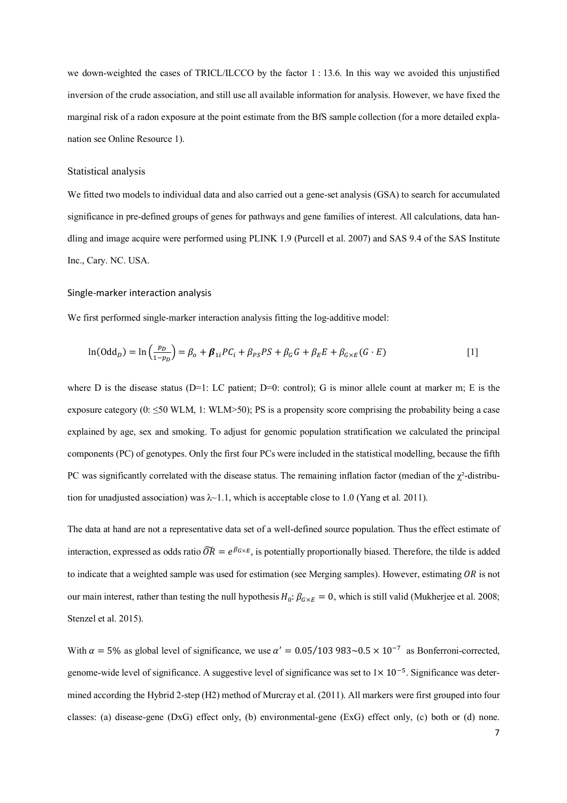we down-weighted the cases of TRICL/ILCCO by the factor 1 : 13.6. In this way we avoided this unjustified inversion of the crude association, and still use all available information for analysis. However, we have fixed the marginal risk of a radon exposure at the point estimate from the BfS sample collection (for a more detailed explanation see Online Resource 1).

## Statistical analysis

We fitted two models to individual data and also carried out a gene-set analysis (GSA) to search for accumulated significance in pre-defined groups of genes for pathways and gene families of interest. All calculations, data handling and image acquire were performed using PLINK 1.9 (Purcell et al. 2007) and SAS 9.4 of the SAS Institute Inc., Cary. NC. USA.

#### Single-marker interaction analysis

We first performed single-marker interaction analysis fitting the log-additive model:

$$
\ln(\text{Odd}_D) = \ln\left(\frac{p_D}{1-p_D}\right) = \beta_o + \beta_{1i}PC_i + \beta_{PS}PS + \beta_GG + \beta_EE + \beta_{G\times E}(G \cdot E) \tag{1}
$$

where D is the disease status (D=1: LC patient; D=0: control); G is minor allele count at marker m; E is the exposure category (0:  $\leq$ 50 WLM, 1: WLM>50); PS is a propensity score comprising the probability being a case explained by age, sex and smoking. To adjust for genomic population stratification we calculated the principal components (PC) of genotypes. Only the first four PCs were included in the statistical modelling, because the fifth PC was significantly correlated with the disease status. The remaining inflation factor (median of the  $\gamma^2$ -distribution for unadjusted association) was  $\lambda$ -1.1, which is acceptable close to 1.0 (Yang et al. 2011).

The data at hand are not a representative data set of a well-defined source population. Thus the effect estimate of interaction, expressed as odds ratio  $\widetilde{OR} = e^{\beta G \times E}$ , is potentially proportionally biased. Therefore, the tilde is added to indicate that a weighted sample was used for estimation (see Merging samples). However, estimating  $OR$  is not our main interest, rather than testing the null hypothesis  $H_0: \beta_{G \times E} = 0$ , which is still valid (Mukherjee et al. 2008; Stenzel et al. 2015).

With  $\alpha = 5\%$  as global level of significance, we use  $\alpha' = 0.05/103983 \sim 0.5 \times 10^{-7}$  as Bonferroni-corrected, genome-wide level of significance. A suggestive level of significance was set to  $1 \times 10^{-5}$ . Significance was determined according the Hybrid 2-step (H2) method of Murcray et al. (2011). All markers were first grouped into four classes: (a) disease-gene (DxG) effect only, (b) environmental-gene (ExG) effect only, (c) both or (d) none.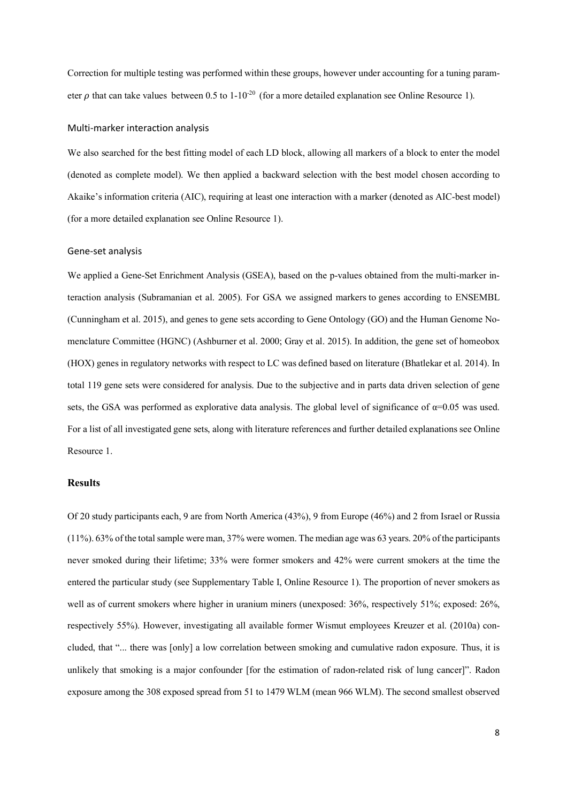Correction for multiple testing was performed within these groups, however under accounting for a tuning parameter  $\rho$  that can take values between 0.5 to 1-10<sup>-20</sup> (for a more detailed explanation see Online Resource 1).

#### Multi-marker interaction analysis

We also searched for the best fitting model of each LD block, allowing all markers of a block to enter the model (denoted as complete model). We then applied a backward selection with the best model chosen according to Akaike's information criteria (AIC), requiring at least one interaction with a marker (denoted as AIC-best model) (for a more detailed explanation see Online Resource 1).

#### Gene-set analysis

We applied a Gene-Set Enrichment Analysis (GSEA), based on the p-values obtained from the multi-marker interaction analysis (Subramanian et al. 2005). For GSA we assigned markers to genes according to ENSEMBL (Cunningham et al. 2015), and genes to gene sets according to Gene Ontology (GO) and the Human Genome Nomenclature Committee (HGNC) (Ashburner et al. 2000; Gray et al. 2015). In addition, the gene set of homeobox (HOX) genes in regulatory networks with respect to LC was defined based on literature (Bhatlekar et al. 2014). In total 119 gene sets were considered for analysis. Due to the subjective and in parts data driven selection of gene sets, the GSA was performed as explorative data analysis. The global level of significance of  $\alpha$ =0.05 was used. For a list of all investigated gene sets, along with literature references and further detailed explanations see Online Resource 1.

## **Results**

Of 20 study participants each, 9 are from North America (43%), 9 from Europe (46%) and 2 from Israel or Russia (11%). 63% of the total sample were man, 37% were women. The median age was 63 years. 20% of the participants never smoked during their lifetime; 33% were former smokers and 42% were current smokers at the time the entered the particular study (see Supplementary Table I, Online Resource 1). The proportion of never smokers as well as of current smokers where higher in uranium miners (unexposed:  $36\%$ , respectively  $51\%$ ; exposed:  $26\%$ , respectively 55%). However, investigating all available former Wismut employees Kreuzer et al. (2010a) concluded, that "... there was [only] a low correlation between smoking and cumulative radon exposure. Thus, it is unlikely that smoking is a major confounder [for the estimation of radon-related risk of lung cancer]". Radon exposure among the 308 exposed spread from 51 to 1479 WLM (mean 966 WLM). The second smallest observed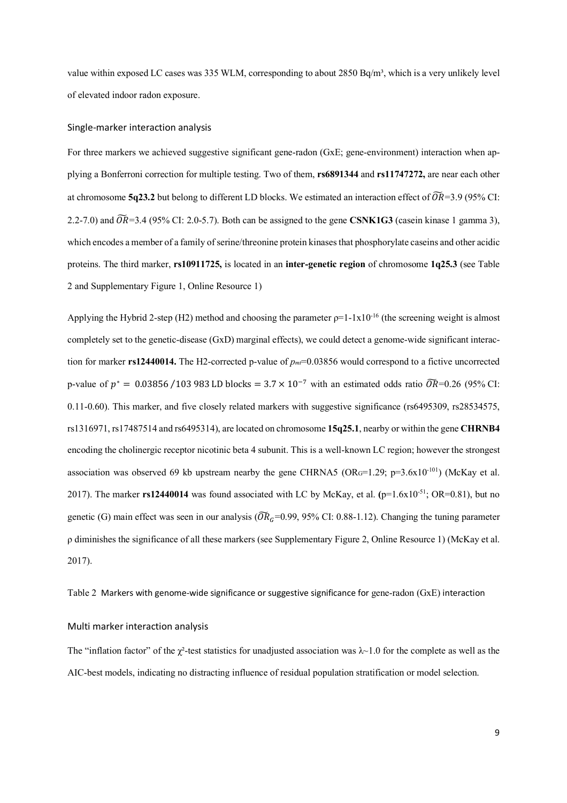value within exposed LC cases was 335 WLM, corresponding to about 2850 Bq/m<sup>3</sup>, which is a very unlikely level of elevated indoor radon exposure.

#### Single-marker interaction analysis

For three markers we achieved suggestive significant gene-radon (GxE; gene-environment) interaction when applying a Bonferroni correction for multiple testing. Two of them, **rs6891344** and **rs11747272,** are near each other at chromosome **5q23.2** but belong to different LD blocks. We estimated an interaction effect of  $\widetilde{OR} = 3.9$  (95% CI: 2.2-7.0) and  $\widetilde{OR}$ =3.4 (95% CI: 2.0-5.7). Both can be assigned to the gene **CSNK1G3** (casein kinase 1 gamma 3), which encodes a member of a family of serine/threonine protein kinases that phosphorylate caseins and other acidic proteins. The third marker, **rs10911725,** is located in an **inter-genetic region** of chromosome **1q25.3** (see Table 2 and Supplementary Figure 1, Online Resource 1)

Applying the Hybrid 2-step (H2) method and choosing the parameter  $\rho=1-1\times10^{-16}$  (the screening weight is almost completely set to the genetic-disease (GxD) marginal effects), we could detect a genome-wide significant interaction for marker **rs12440014.** The H2-corrected p-value of  $p_m$ =0.03856 would correspond to a fictive uncorrected p-value of  $p^* = 0.03856 / 103983$  LD blocks =  $3.7 \times 10^{-7}$  with an estimated odds ratio  $\widetilde{OR}$ =0.26 (95% CI: 0.11-0.60). This marker, and five closely related markers with suggestive significance (rs6495309, rs28534575, rs1316971, rs17487514 and rs6495314), are located on chromosome **15q25.1**, nearby or within the gene **CHRNB4** encoding the cholinergic receptor nicotinic beta 4 subunit. This is a well-known LC region; however the strongest association was observed 69 kb upstream nearby the gene CHRNA5 (ORG=1.29; p=3.6x10<sup>-101</sup>) (McKay et al. 2017). The marker **rs12440014** was found associated with LC by McKay, et al. **(**p=1.6x10-51; OR=0.81), but no genetic (G) main effect was seen in our analysis ( $\widetilde{OR}_G$ =0.99, 95% CI: 0.88-1.12). Changing the tuning parameter ρ diminishes the significance of all these markers (see Supplementary Figure 2, Online Resource 1) (McKay et al. 2017).

Table 2 Markers with genome-wide significance or suggestive significance for gene-radon (GxE) interaction

### Multi marker interaction analysis

The "inflation factor" of the  $\chi^2$ -test statistics for unadjusted association was  $\lambda$ ~1.0 for the complete as well as the AIC-best models, indicating no distracting influence of residual population stratification or model selection.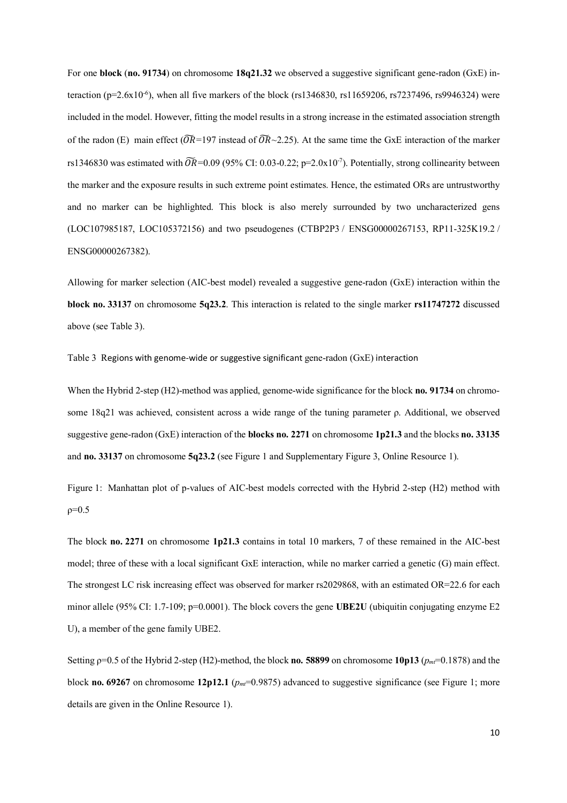For one **block** (**no. 91734**) on chromosome **18q21.32** we observed a suggestive significant gene-radon (GxE) interaction ( $p=2.6x10^{-6}$ ), when all five markers of the block (rs1346830, rs11659206, rs7237496, rs9946324) were included in the model. However, fitting the model results in a strong increase in the estimated association strength of the radon (E) main effect ( $\widetilde{OR}$ =197 instead of  $\widetilde{OR}$  ~2.25). At the same time the GxE interaction of the marker rs1346830 was estimated with  $\widetilde{OR}$ =0.09 (95% CI: 0.03-0.22; p=2.0x10<sup>-7</sup>). Potentially, strong collinearity between the marker and the exposure results in such extreme point estimates. Hence, the estimated ORs are untrustworthy and no marker can be highlighted. This block is also merely surrounded by two uncharacterized gens (LOC107985187, LOC105372156) and two pseudogenes (CTBP2P3 / ENSG00000267153, RP11-325K19.2 / ENSG00000267382).

Allowing for marker selection (AIC-best model) revealed a suggestive gene-radon (GxE) interaction within the **block no. 33137** on chromosome **5q23.2**. This interaction is related to the single marker **rs11747272** discussed above (see Table 3).

Table 3 Regions with genome-wide or suggestive significant gene-radon (GxE) interaction

When the Hybrid 2-step (H2)-method was applied, genome-wide significance for the block **no. 91734** on chromosome 18q21 was achieved, consistent across a wide range of the tuning parameter ρ. Additional, we observed suggestive gene-radon (GxE) interaction of the **blocks no. 2271** on chromosome **1p21.3** and the blocks **no. 33135** and **no. 33137** on chromosome **5q23.2** (see Figure 1 and Supplementary Figure 3, Online Resource 1).

Figure 1: Manhattan plot of p-values of AIC-best models corrected with the Hybrid 2-step (H2) method with  $ρ=0.5$ 

The block **no. 2271** on chromosome **1p21.3** contains in total 10 markers, 7 of these remained in the AIC-best model; three of these with a local significant GxE interaction, while no marker carried a genetic (G) main effect. The strongest LC risk increasing effect was observed for marker rs2029868, with an estimated OR=22.6 for each minor allele (95% CI: 1.7-109; p=0.0001). The block covers the gene **UBE2U** (ubiquitin conjugating enzyme E2 U), a member of the gene family UBE2.

Setting ρ=0.5 of the Hybrid 2-step (H2)-method, the block **no. 58899** on chromosome **10p13** (*pmt*=0.1878) and the block **no.** 69267 on chromosome **12p12.1** ( $p_{m}$ =0.9875) advanced to suggestive significance (see Figure 1; more details are given in the Online Resource 1).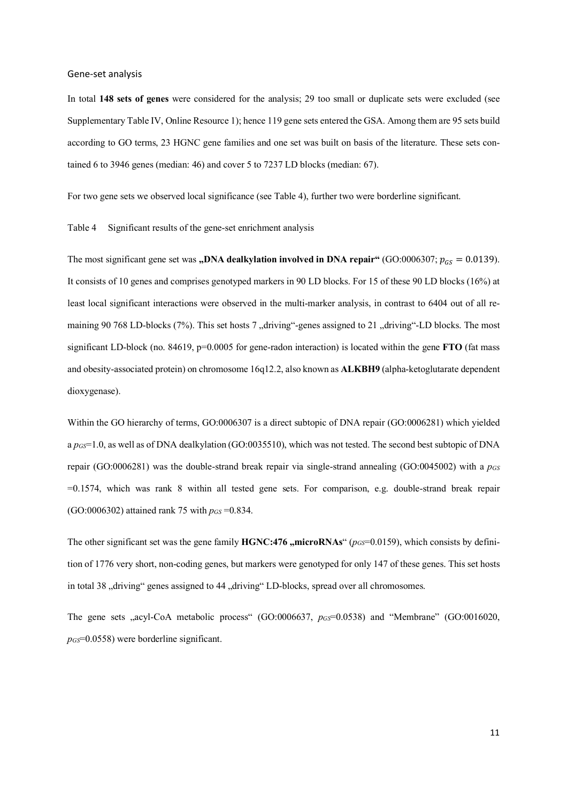#### Gene-set analysis

In total **148 sets of genes** were considered for the analysis; 29 too small or duplicate sets were excluded (see Supplementary Table IV, Online Resource 1); hence 119 gene sets entered the GSA. Among them are 95 sets build according to GO terms, 23 HGNC gene families and one set was built on basis of the literature. These sets contained 6 to 3946 genes (median: 46) and cover 5 to 7237 LD blocks (median: 67).

For two gene sets we observed local significance (see Table 4), further two were borderline significant.

### Table 4 Significant results of the gene-set enrichment analysis

The most significant gene set was **"DNA dealkylation involved in DNA repair"** (GO:0006307;  $p_{GS} = 0.0139$ ). It consists of 10 genes and comprises genotyped markers in 90 LD blocks. For 15 of these 90 LD blocks (16%) at least local significant interactions were observed in the multi-marker analysis, in contrast to 6404 out of all remaining 90 768 LD-blocks (7%). This set hosts 7 "driving"-genes assigned to 21 "driving"-LD blocks. The most significant LD-block (no. 84619, p=0.0005 for gene-radon interaction) is located within the gene **FTO** (fat mass and obesity-associated protein) on chromosome 16q12.2, also known as **ALKBH9** (alpha-ketoglutarate dependent dioxygenase).

Within the GO hierarchy of terms, GO:0006307 is a direct subtopic of DNA repair (GO:0006281) which yielded a *pGS*=1.0, as well as of DNA dealkylation (GO:0035510), which was not tested. The second best subtopic of DNA repair (GO:0006281) was the double-strand break repair via single-strand annealing (GO:0045002) with a  $p_{GS}$ =0.1574, which was rank 8 within all tested gene sets. For comparison, e.g. double-strand break repair (GO:0006302) attained rank 75 with *pGS* =0.834.

The other significant set was the gene family  $\text{HGNC:476}$ , microRNAs" ( $p_{GS}$ =0.0159), which consists by definition of 1776 very short, non-coding genes, but markers were genotyped for only 147 of these genes. This set hosts in total 38 "driving" genes assigned to 44 "driving" LD-blocks, spread over all chromosomes.

The gene sets ..acyl-CoA metabolic process<sup>"</sup> (GO:0006637,  $p_{GS}$ =0.0538) and "Membrane" (GO:0016020, *pGS*=0.0558) were borderline significant.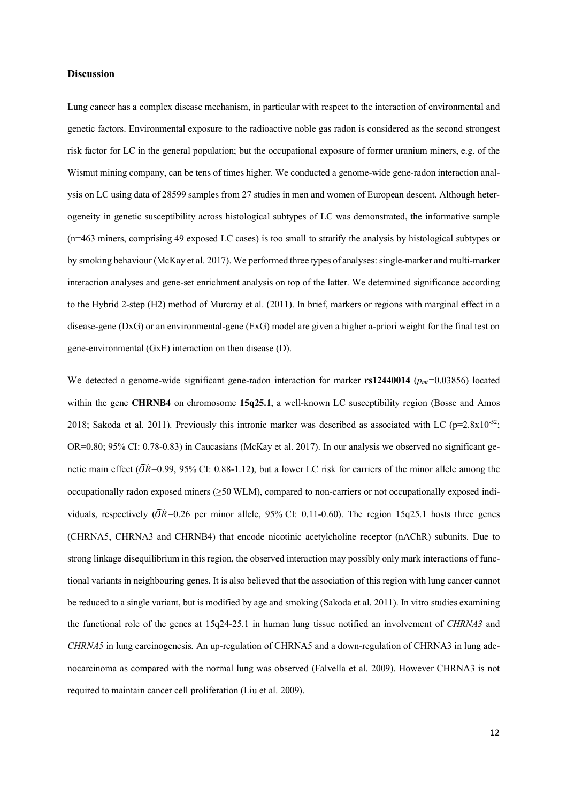## **Discussion**

Lung cancer has a complex disease mechanism, in particular with respect to the interaction of environmental and genetic factors. Environmental exposure to the radioactive noble gas radon is considered as the second strongest risk factor for LC in the general population; but the occupational exposure of former uranium miners, e.g. of the Wismut mining company, can be tens of times higher. We conducted a genome-wide gene-radon interaction analysis on LC using data of 28599 samples from 27 studies in men and women of European descent. Although heterogeneity in genetic susceptibility across histological subtypes of LC was demonstrated, the informative sample (n=463 miners, comprising 49 exposed LC cases) is too small to stratify the analysis by histological subtypes or by smoking behaviour (McKay et al. 2017). We performed three types of analyses: single-marker and multi-marker interaction analyses and gene-set enrichment analysis on top of the latter. We determined significance according to the Hybrid 2-step (H2) method of Murcray et al. (2011). In brief, markers or regions with marginal effect in a disease-gene (DxG) or an environmental-gene (ExG) model are given a higher a-priori weight for the final test on gene-environmental (GxE) interaction on then disease (D).

We detected a genome-wide significant gene-radon interaction for marker **rs12440014** ( $p_{mt}=0.03856$ ) located within the gene **CHRNB4** on chromosome **15q25.1**, a well-known LC susceptibility region (Bosse and Amos 2018; Sakoda et al. 2011). Previously this intronic marker was described as associated with LC ( $p=2.8x10^{-52}$ ; OR=0.80; 95% CI: 0.78-0.83) in Caucasians (McKay et al. 2017). In our analysis we observed no significant genetic main effect ( $\overline{OR}$ =0.99, 95% CI: 0.88-1.12), but a lower LC risk for carriers of the minor allele among the occupationally radon exposed miners ( $\geq$ 50 WLM), compared to non-carriers or not occupationally exposed individuals, respectively ( $\widetilde{OR}$ =0.26 per minor allele, 95% CI: 0.11-0.60). The region 15q25.1 hosts three genes (CHRNA5, CHRNA3 and CHRNB4) that encode nicotinic acetylcholine receptor (nAChR) subunits. Due to strong linkage disequilibrium in this region, the observed interaction may possibly only mark interactions of functional variants in neighbouring genes. It is also believed that the association of this region with lung cancer cannot be reduced to a single variant, but is modified by age and smoking (Sakoda et al. 2011). In vitro studies examining the functional role of the genes at 15q24-25.1 in human lung tissue notified an involvement of *CHRNA3* and *CHRNA5* in lung carcinogenesis. An up-regulation of CHRNA5 and a down-regulation of CHRNA3 in lung adenocarcinoma as compared with the normal lung was observed (Falvella et al. 2009). However CHRNA3 is not required to maintain cancer cell proliferation (Liu et al. 2009).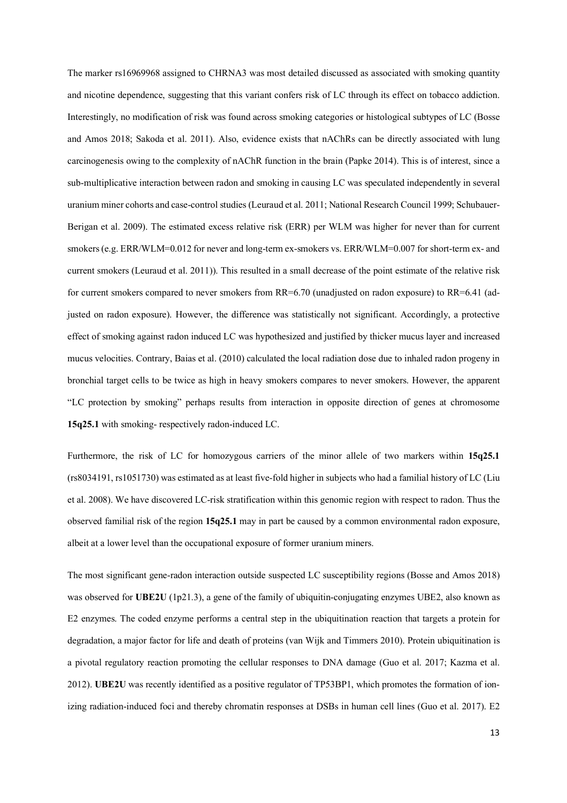The marker rs16969968 assigned to CHRNA3 was most detailed discussed as associated with smoking quantity and nicotine dependence, suggesting that this variant confers risk of LC through its effect on tobacco addiction. Interestingly, no modification of risk was found across smoking categories or histological subtypes of LC (Bosse and Amos 2018; Sakoda et al. 2011). Also, evidence exists that nAChRs can be directly associated with lung carcinogenesis owing to the complexity of nAChR function in the brain (Papke 2014). This is of interest, since a sub-multiplicative interaction between radon and smoking in causing LC was speculated independently in several uranium miner cohorts and case-control studies (Leuraud et al. 2011; National Research Council 1999; Schubauer-Berigan et al. 2009). The estimated excess relative risk (ERR) per WLM was higher for never than for current smokers (e.g. ERR/WLM=0.012 for never and long-term ex-smokers vs. ERR/WLM=0.007 for short-term ex- and current smokers (Leuraud et al. 2011)). This resulted in a small decrease of the point estimate of the relative risk for current smokers compared to never smokers from RR=6.70 (unadjusted on radon exposure) to RR=6.41 (adjusted on radon exposure). However, the difference was statistically not significant. Accordingly, a protective effect of smoking against radon induced LC was hypothesized and justified by thicker mucus layer and increased mucus velocities. Contrary, Baias et al. (2010) calculated the local radiation dose due to inhaled radon progeny in bronchial target cells to be twice as high in heavy smokers compares to never smokers. However, the apparent "LC protection by smoking" perhaps results from interaction in opposite direction of genes at chromosome **15q25.1** with smoking- respectively radon-induced LC.

Furthermore, the risk of LC for homozygous carriers of the minor allele of two markers within **15q25.1** (rs8034191, rs1051730) was estimated as at least five-fold higher in subjects who had a familial history of LC (Liu et al. 2008). We have discovered LC-risk stratification within this genomic region with respect to radon. Thus the observed familial risk of the region **15q25.1** may in part be caused by a common environmental radon exposure, albeit at a lower level than the occupational exposure of former uranium miners.

The most significant gene-radon interaction outside suspected LC susceptibility regions (Bosse and Amos 2018) was observed for **UBE2U** (1p21.3), a gene of the family of ubiquitin-conjugating enzymes UBE2, also known as E2 enzymes. The coded enzyme performs a central step in the ubiquitination reaction that targets a protein for degradation, a major factor for life and death of proteins (van Wijk and Timmers 2010). Protein ubiquitination is a pivotal regulatory reaction promoting the cellular responses to DNA damage (Guo et al. 2017; Kazma et al. 2012). **UBE2U** was recently identified as a positive regulator of TP53BP1, which promotes the formation of ionizing radiation-induced foci and thereby chromatin responses at DSBs in human cell lines (Guo et al. 2017). E2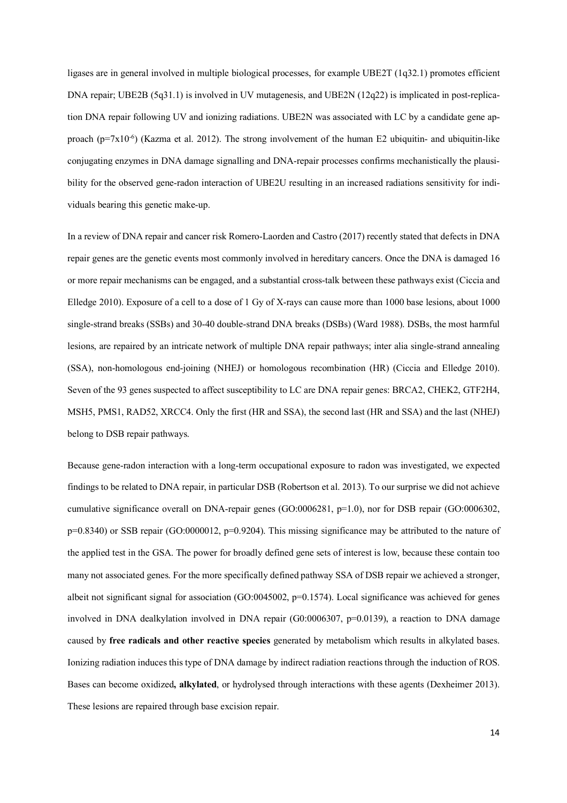ligases are in general involved in multiple biological processes, for example UBE2T (1q32.1) promotes efficient DNA repair; UBE2B (5q31.1) is involved in UV mutagenesis, and UBE2N (12q22) is implicated in post-replication DNA repair following UV and ionizing radiations. UBE2N was associated with LC by a candidate gene approach (p=7x10<sup>-6</sup>) (Kazma et al. 2012). The strong involvement of the human E2 ubiquitin- and ubiquitin-like conjugating enzymes in DNA damage signalling and DNA-repair processes confirms mechanistically the plausibility for the observed gene-radon interaction of UBE2U resulting in an increased radiations sensitivity for individuals bearing this genetic make-up.

In a review of DNA repair and cancer risk Romero-Laorden and Castro (2017) recently stated that defects in DNA repair genes are the genetic events most commonly involved in hereditary cancers. Once the DNA is damaged 16 or more repair mechanisms can be engaged, and a substantial cross-talk between these pathways exist (Ciccia and Elledge 2010). Exposure of a cell to a dose of 1 Gy of X-rays can cause more than 1000 base lesions, about 1000 single-strand breaks (SSBs) and 30-40 double-strand DNA breaks (DSBs) (Ward 1988). DSBs, the most harmful lesions, are repaired by an intricate network of multiple DNA repair pathways; inter alia single-strand annealing (SSA), non-homologous end-joining (NHEJ) or homologous recombination (HR) (Ciccia and Elledge 2010). Seven of the 93 genes suspected to affect susceptibility to LC are DNA repair genes: BRCA2, CHEK2, GTF2H4, MSH5, PMS1, RAD52, XRCC4. Only the first (HR and SSA), the second last (HR and SSA) and the last (NHEJ) belong to DSB repair pathways.

Because gene-radon interaction with a long-term occupational exposure to radon was investigated, we expected findings to be related to DNA repair, in particular DSB (Robertson et al. 2013). To our surprise we did not achieve cumulative significance overall on DNA-repair genes (GO:0006281, p=1.0), nor for DSB repair (GO:0006302, p=0.8340) or SSB repair (GO:0000012, p=0.9204). This missing significance may be attributed to the nature of the applied test in the GSA. The power for broadly defined gene sets of interest is low, because these contain too many not associated genes. For the more specifically defined pathway SSA of DSB repair we achieved a stronger, albeit not significant signal for association (GO:0045002, p=0.1574). Local significance was achieved for genes involved in DNA dealkylation involved in DNA repair (G0:0006307, p=0.0139), a reaction to DNA damage caused by **free radicals and other reactive species** generated by metabolism which results in alkylated bases. Ionizing radiation induces this type of DNA damage by indirect radiation reactions through the induction of ROS. Bases can become oxidized**, alkylated**, or hydrolysed through interactions with these agents (Dexheimer 2013). These lesions are repaired through base excision repair.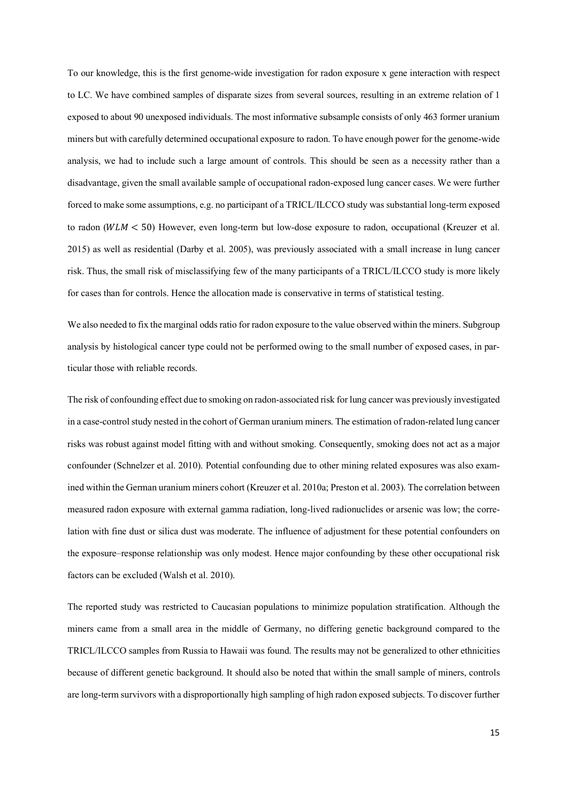To our knowledge, this is the first genome-wide investigation for radon exposure x gene interaction with respect to LC. We have combined samples of disparate sizes from several sources, resulting in an extreme relation of 1 exposed to about 90 unexposed individuals. The most informative subsample consists of only 463 former uranium miners but with carefully determined occupational exposure to radon. To have enough power for the genome-wide analysis, we had to include such a large amount of controls. This should be seen as a necessity rather than a disadvantage, given the small available sample of occupational radon-exposed lung cancer cases. We were further forced to make some assumptions, e.g. no participant of a TRICL/ILCCO study was substantial long-term exposed to radon ( $WLM < 50$ ) However, even long-term but low-dose exposure to radon, occupational (Kreuzer et al. 2015) as well as residential (Darby et al. 2005), was previously associated with a small increase in lung cancer risk. Thus, the small risk of misclassifying few of the many participants of a TRICL/ILCCO study is more likely for cases than for controls. Hence the allocation made is conservative in terms of statistical testing.

We also needed to fix the marginal odds ratio for radon exposure to the value observed within the miners. Subgroup analysis by histological cancer type could not be performed owing to the small number of exposed cases, in particular those with reliable records.

The risk of confounding effect due to smoking on radon-associated risk for lung cancer was previously investigated in a case-control study nested in the cohort of German uranium miners. The estimation of radon-related lung cancer risks was robust against model fitting with and without smoking. Consequently, smoking does not act as a major confounder (Schnelzer et al. 2010). Potential confounding due to other mining related exposures was also examined within the German uranium miners cohort (Kreuzer et al. 2010a; Preston et al. 2003). The correlation between measured radon exposure with external gamma radiation, long-lived radionuclides or arsenic was low; the correlation with fine dust or silica dust was moderate. The influence of adjustment for these potential confounders on the exposure–response relationship was only modest. Hence major confounding by these other occupational risk factors can be excluded (Walsh et al. 2010).

The reported study was restricted to Caucasian populations to minimize population stratification. Although the miners came from a small area in the middle of Germany, no differing genetic background compared to the TRICL/ILCCO samples from Russia to Hawaii was found. The results may not be generalized to other ethnicities because of different genetic background. It should also be noted that within the small sample of miners, controls are long-term survivors with a disproportionally high sampling of high radon exposed subjects. To discover further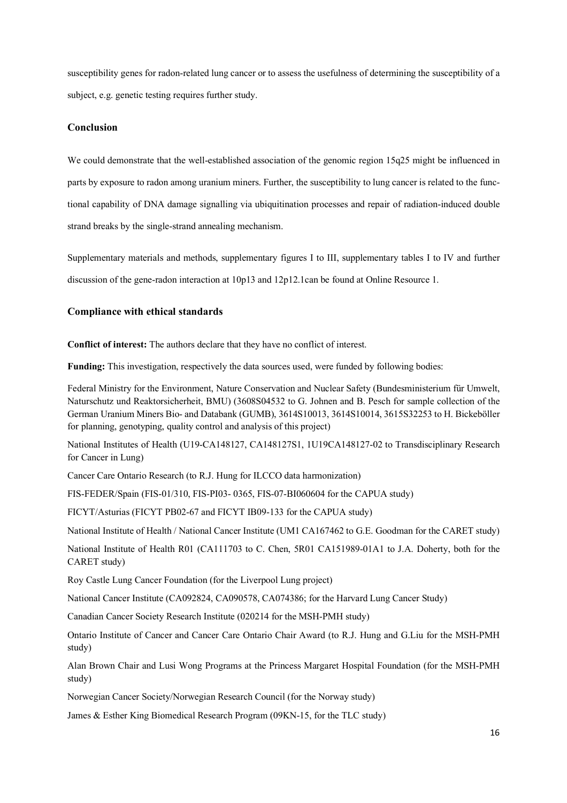susceptibility genes for radon-related lung cancer or to assess the usefulness of determining the susceptibility of a subject, e.g. genetic testing requires further study.

## **Conclusion**

We could demonstrate that the well-established association of the genomic region 15q25 might be influenced in parts by exposure to radon among uranium miners. Further, the susceptibility to lung cancer is related to the functional capability of DNA damage signalling via ubiquitination processes and repair of radiation-induced double strand breaks by the single-strand annealing mechanism.

Supplementary materials and methods, supplementary figures I to III, supplementary tables I to IV and further discussion of the gene-radon interaction at 10p13 and 12p12.1can be found at Online Resource 1.

## **Compliance with ethical standards**

**Conflict of interest:** The authors declare that they have no conflict of interest.

**Funding:** This investigation, respectively the data sources used, were funded by following bodies:

Federal Ministry for the Environment, Nature Conservation and Nuclear Safety (Bundesministerium für Umwelt, Naturschutz und Reaktorsicherheit, BMU) (3608S04532 to G. Johnen and B. Pesch for sample collection of the German Uranium Miners Bio- and Databank (GUMB), 3614S10013, 3614S10014, 3615S32253 to H. Bickeböller for planning, genotyping, quality control and analysis of this project)

National Institutes of Health (U19-CA148127, CA148127S1, 1U19CA148127-02 to Transdisciplinary Research for Cancer in Lung)

Cancer Care Ontario Research (to R.J. Hung for ILCCO data harmonization)

FIS-FEDER/Spain (FIS-01/310, FIS-PI03- 0365, FIS-07-BI060604 for the CAPUA study)

FICYT/Asturias (FICYT PB02-67 and FICYT IB09-133 for the CAPUA study)

National Institute of Health / National Cancer Institute (UM1 CA167462 to G.E. Goodman for the CARET study)

National Institute of Health R01 (CA111703 to C. Chen, 5R01 CA151989-01A1 to J.A. Doherty, both for the CARET study)

Roy Castle Lung Cancer Foundation (for the Liverpool Lung project)

National Cancer Institute (CA092824, CA090578, CA074386; for the Harvard Lung Cancer Study)

Canadian Cancer Society Research Institute (020214 for the MSH-PMH study)

Ontario Institute of Cancer and Cancer Care Ontario Chair Award (to R.J. Hung and G.Liu for the MSH-PMH study)

Alan Brown Chair and Lusi Wong Programs at the Princess Margaret Hospital Foundation (for the MSH-PMH study)

Norwegian Cancer Society/Norwegian Research Council (for the Norway study)

James & Esther King Biomedical Research Program (09KN-15, for the TLC study)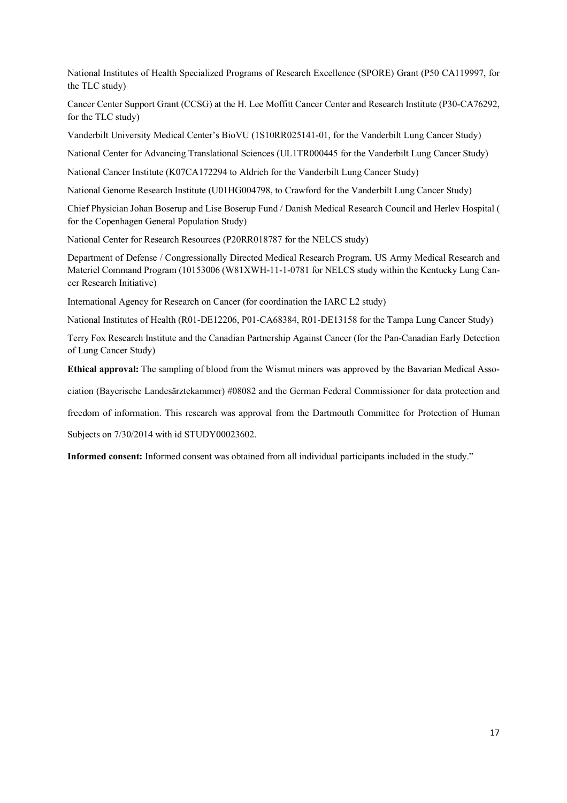National Institutes of Health Specialized Programs of Research Excellence (SPORE) Grant (P50 CA119997, for the TLC study)

Cancer Center Support Grant (CCSG) at the H. Lee Moffitt Cancer Center and Research Institute (P30-CA76292, for the TLC study)

Vanderbilt University Medical Center's BioVU (1S10RR025141-01, for the Vanderbilt Lung Cancer Study)

National Center for Advancing Translational Sciences (UL1TR000445 for the Vanderbilt Lung Cancer Study)

National Cancer Institute (K07CA172294 to Aldrich for the Vanderbilt Lung Cancer Study)

National Genome Research Institute (U01HG004798, to Crawford for the Vanderbilt Lung Cancer Study)

Chief Physician Johan Boserup and Lise Boserup Fund / Danish Medical Research Council and Herlev Hospital ( for the Copenhagen General Population Study)

National Center for Research Resources (P20RR018787 for the NELCS study)

Department of Defense / Congressionally Directed Medical Research Program, US Army Medical Research and Materiel Command Program (10153006 (W81XWH-11-1-0781 for NELCS study within the Kentucky Lung Cancer Research Initiative)

International Agency for Research on Cancer (for coordination the IARC L2 study)

National Institutes of Health (R01-DE12206, P01-CA68384, R01-DE13158 for the Tampa Lung Cancer Study)

Terry Fox Research Institute and the Canadian Partnership Against Cancer (for the Pan-Canadian Early Detection of Lung Cancer Study)

**Ethical approval:** The sampling of blood from the Wismut miners was approved by the Bavarian Medical Asso-

ciation (Bayerische Landesärztekammer) #08082 and the German Federal Commissioner for data protection and

freedom of information. This research was approval from the Dartmouth Committee for Protection of Human

Subjects on 7/30/2014 with id STUDY00023602.

**Informed consent:** Informed consent was obtained from all individual participants included in the study."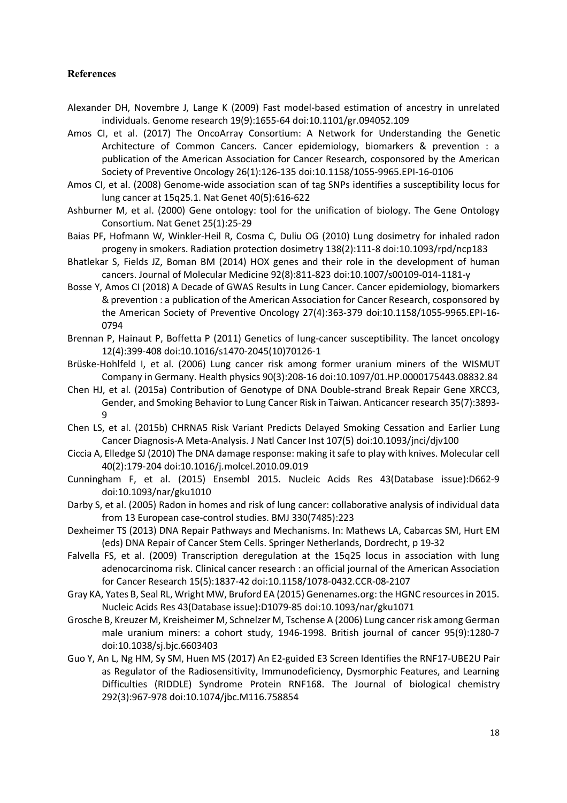## **References**

- Alexander DH, Novembre J, Lange K (2009) Fast model-based estimation of ancestry in unrelated individuals. Genome research 19(9):1655-64 doi:10.1101/gr.094052.109
- Amos CI, et al. (2017) The OncoArray Consortium: A Network for Understanding the Genetic Architecture of Common Cancers. Cancer epidemiology, biomarkers & prevention : a publication of the American Association for Cancer Research, cosponsored by the American Society of Preventive Oncology 26(1):126-135 doi:10.1158/1055-9965.EPI-16-0106
- Amos CI, et al. (2008) Genome-wide association scan of tag SNPs identifies a susceptibility locus for lung cancer at 15q25.1. Nat Genet 40(5):616-622
- Ashburner M, et al. (2000) Gene ontology: tool for the unification of biology. The Gene Ontology Consortium. Nat Genet 25(1):25-29
- Baias PF, Hofmann W, Winkler-Heil R, Cosma C, Duliu OG (2010) Lung dosimetry for inhaled radon progeny in smokers. Radiation protection dosimetry 138(2):111-8 doi:10.1093/rpd/ncp183
- Bhatlekar S, Fields JZ, Boman BM (2014) HOX genes and their role in the development of human cancers. Journal of Molecular Medicine 92(8):811-823 doi:10.1007/s00109-014-1181-y
- Bosse Y, Amos CI (2018) A Decade of GWAS Results in Lung Cancer. Cancer epidemiology, biomarkers & prevention : a publication of the American Association for Cancer Research, cosponsored by the American Society of Preventive Oncology 27(4):363-379 doi:10.1158/1055-9965.EPI-16- 0794
- Brennan P, Hainaut P, Boffetta P (2011) Genetics of lung-cancer susceptibility. The lancet oncology 12(4):399-408 doi:10.1016/s1470-2045(10)70126-1
- Brüske-Hohlfeld I, et al. (2006) Lung cancer risk among former uranium miners of the WISMUT Company in Germany. Health physics 90(3):208-16 doi:10.1097/01.HP.0000175443.08832.84
- Chen HJ, et al. (2015a) Contribution of Genotype of DNA Double-strand Break Repair Gene XRCC3, Gender, and Smoking Behavior to Lung Cancer Risk in Taiwan. Anticancer research 35(7):3893- 9
- Chen LS, et al. (2015b) CHRNA5 Risk Variant Predicts Delayed Smoking Cessation and Earlier Lung Cancer Diagnosis-A Meta-Analysis. J Natl Cancer Inst 107(5) doi:10.1093/jnci/djv100
- Ciccia A, Elledge SJ (2010) The DNA damage response: making it safe to play with knives. Molecular cell 40(2):179-204 doi:10.1016/j.molcel.2010.09.019
- Cunningham F, et al. (2015) Ensembl 2015. Nucleic Acids Res 43(Database issue):D662-9 doi:10.1093/nar/gku1010
- Darby S, et al. (2005) Radon in homes and risk of lung cancer: collaborative analysis of individual data from 13 European case-control studies. BMJ 330(7485):223
- Dexheimer TS (2013) DNA Repair Pathways and Mechanisms. In: Mathews LA, Cabarcas SM, Hurt EM (eds) DNA Repair of Cancer Stem Cells. Springer Netherlands, Dordrecht, p 19-32
- Falvella FS, et al. (2009) Transcription deregulation at the 15q25 locus in association with lung adenocarcinoma risk. Clinical cancer research : an official journal of the American Association for Cancer Research 15(5):1837-42 doi:10.1158/1078-0432.CCR-08-2107
- Gray KA, Yates B, Seal RL, Wright MW, Bruford EA (2015) Genenames.org: the HGNC resources in 2015. Nucleic Acids Res 43(Database issue):D1079-85 doi:10.1093/nar/gku1071
- Grosche B, Kreuzer M, Kreisheimer M, Schnelzer M, Tschense A (2006) Lung cancer risk among German male uranium miners: a cohort study, 1946-1998. British journal of cancer 95(9):1280-7 doi:10.1038/sj.bjc.6603403
- Guo Y, An L, Ng HM, Sy SM, Huen MS (2017) An E2-guided E3 Screen Identifies the RNF17-UBE2U Pair as Regulator of the Radiosensitivity, Immunodeficiency, Dysmorphic Features, and Learning Difficulties (RIDDLE) Syndrome Protein RNF168. The Journal of biological chemistry 292(3):967-978 doi:10.1074/jbc.M116.758854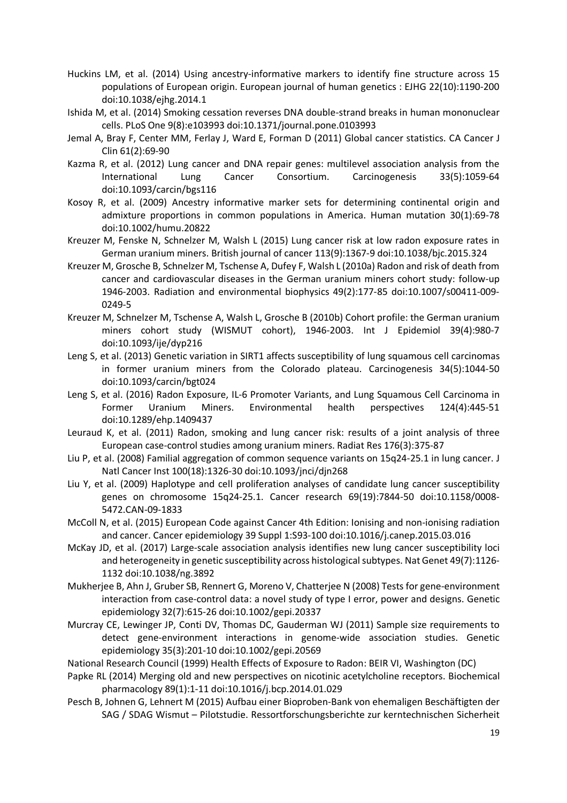- Huckins LM, et al. (2014) Using ancestry-informative markers to identify fine structure across 15 populations of European origin. European journal of human genetics : EJHG 22(10):1190-200 doi:10.1038/ejhg.2014.1
- Ishida M, et al. (2014) Smoking cessation reverses DNA double-strand breaks in human mononuclear cells. PLoS One 9(8):e103993 doi:10.1371/journal.pone.0103993
- Jemal A, Bray F, Center MM, Ferlay J, Ward E, Forman D (2011) Global cancer statistics. CA Cancer J Clin 61(2):69-90
- Kazma R, et al. (2012) Lung cancer and DNA repair genes: multilevel association analysis from the International Lung Cancer Consortium. Carcinogenesis 33(5):1059-64 doi:10.1093/carcin/bgs116
- Kosoy R, et al. (2009) Ancestry informative marker sets for determining continental origin and admixture proportions in common populations in America. Human mutation 30(1):69-78 doi:10.1002/humu.20822
- Kreuzer M, Fenske N, Schnelzer M, Walsh L (2015) Lung cancer risk at low radon exposure rates in German uranium miners. British journal of cancer 113(9):1367-9 doi:10.1038/bjc.2015.324
- Kreuzer M, Grosche B, Schnelzer M, Tschense A, Dufey F, Walsh L (2010a) Radon and risk of death from cancer and cardiovascular diseases in the German uranium miners cohort study: follow-up 1946-2003. Radiation and environmental biophysics 49(2):177-85 doi:10.1007/s00411-009- 0249-5
- Kreuzer M, Schnelzer M, Tschense A, Walsh L, Grosche B (2010b) Cohort profile: the German uranium miners cohort study (WISMUT cohort), 1946-2003. Int J Epidemiol 39(4):980-7 doi:10.1093/ije/dyp216
- Leng S, et al. (2013) Genetic variation in SIRT1 affects susceptibility of lung squamous cell carcinomas in former uranium miners from the Colorado plateau. Carcinogenesis 34(5):1044-50 doi:10.1093/carcin/bgt024
- Leng S, et al. (2016) Radon Exposure, IL-6 Promoter Variants, and Lung Squamous Cell Carcinoma in Former Uranium Miners. Environmental health perspectives 124(4):445-51 doi:10.1289/ehp.1409437
- Leuraud K, et al. (2011) Radon, smoking and lung cancer risk: results of a joint analysis of three European case-control studies among uranium miners. Radiat Res 176(3):375-87
- Liu P, et al. (2008) Familial aggregation of common sequence variants on 15q24-25.1 in lung cancer. J Natl Cancer Inst 100(18):1326-30 doi:10.1093/jnci/djn268
- Liu Y, et al. (2009) Haplotype and cell proliferation analyses of candidate lung cancer susceptibility genes on chromosome 15q24-25.1. Cancer research 69(19):7844-50 doi:10.1158/0008- 5472.CAN-09-1833
- McColl N, et al. (2015) European Code against Cancer 4th Edition: Ionising and non-ionising radiation and cancer. Cancer epidemiology 39 Suppl 1:S93-100 doi:10.1016/j.canep.2015.03.016
- McKay JD, et al. (2017) Large-scale association analysis identifies new lung cancer susceptibility loci and heterogeneity in genetic susceptibility across histological subtypes. Nat Genet 49(7):1126- 1132 doi:10.1038/ng.3892
- Mukherjee B, Ahn J, Gruber SB, Rennert G, Moreno V, Chatterjee N (2008) Tests for gene-environment interaction from case-control data: a novel study of type I error, power and designs. Genetic epidemiology 32(7):615-26 doi:10.1002/gepi.20337
- Murcray CE, Lewinger JP, Conti DV, Thomas DC, Gauderman WJ (2011) Sample size requirements to detect gene-environment interactions in genome-wide association studies. Genetic epidemiology 35(3):201-10 doi:10.1002/gepi.20569
- National Research Council (1999) Health Effects of Exposure to Radon: BEIR VI, Washington (DC)
- Papke RL (2014) Merging old and new perspectives on nicotinic acetylcholine receptors. Biochemical pharmacology 89(1):1-11 doi:10.1016/j.bcp.2014.01.029
- Pesch B, Johnen G, Lehnert M (2015) Aufbau einer Bioproben-Bank von ehemaligen Beschäftigten der SAG / SDAG Wismut – Pilotstudie. Ressortforschungsberichte zur kerntechnischen Sicherheit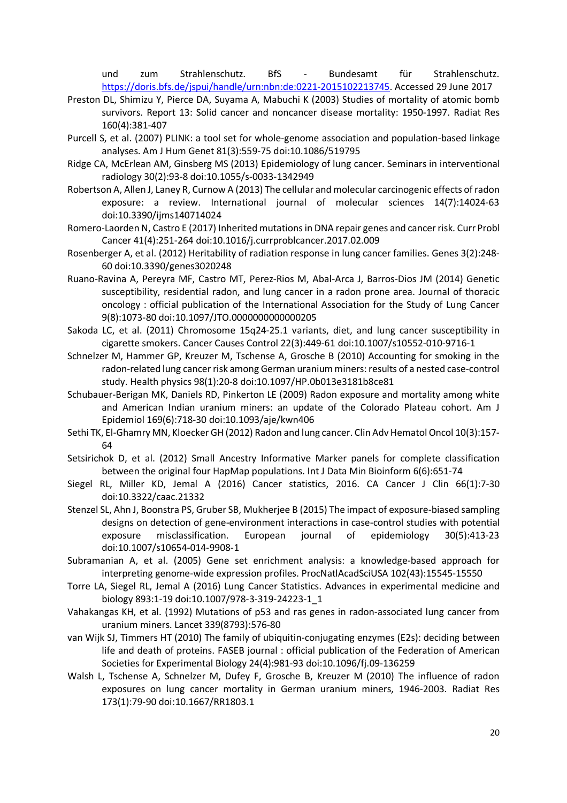und zum Strahlenschutz. BfS - Bundesamt für Strahlenschutz. https://doris.bfs.de/jspui/handle/urn:nbn:de:0221-2015102213745. Accessed 29 June 2017

- Preston DL, Shimizu Y, Pierce DA, Suyama A, Mabuchi K (2003) Studies of mortality of atomic bomb survivors. Report 13: Solid cancer and noncancer disease mortality: 1950-1997. Radiat Res 160(4):381-407
- Purcell S, et al. (2007) PLINK: a tool set for whole-genome association and population-based linkage analyses. Am J Hum Genet 81(3):559-75 doi:10.1086/519795
- Ridge CA, McErlean AM, Ginsberg MS (2013) Epidemiology of lung cancer. Seminars in interventional radiology 30(2):93-8 doi:10.1055/s-0033-1342949
- Robertson A, Allen J, Laney R, Curnow A (2013) The cellular and molecular carcinogenic effects of radon exposure: a review. International journal of molecular sciences 14(7):14024-63 doi:10.3390/ijms140714024
- Romero-Laorden N, Castro E (2017) Inherited mutations in DNA repair genes and cancer risk. Curr Probl Cancer 41(4):251-264 doi:10.1016/j.currproblcancer.2017.02.009
- Rosenberger A, et al. (2012) Heritability of radiation response in lung cancer families. Genes 3(2):248- 60 doi:10.3390/genes3020248
- Ruano-Ravina A, Pereyra MF, Castro MT, Perez-Rios M, Abal-Arca J, Barros-Dios JM (2014) Genetic susceptibility, residential radon, and lung cancer in a radon prone area. Journal of thoracic oncology : official publication of the International Association for the Study of Lung Cancer 9(8):1073-80 doi:10.1097/JTO.0000000000000205
- Sakoda LC, et al. (2011) Chromosome 15q24-25.1 variants, diet, and lung cancer susceptibility in cigarette smokers. Cancer Causes Control 22(3):449-61 doi:10.1007/s10552-010-9716-1
- Schnelzer M, Hammer GP, Kreuzer M, Tschense A, Grosche B (2010) Accounting for smoking in the radon-related lung cancer risk among German uranium miners: results of a nested case-control study. Health physics 98(1):20-8 doi:10.1097/HP.0b013e3181b8ce81
- Schubauer-Berigan MK, Daniels RD, Pinkerton LE (2009) Radon exposure and mortality among white and American Indian uranium miners: an update of the Colorado Plateau cohort. Am J Epidemiol 169(6):718-30 doi:10.1093/aje/kwn406
- Sethi TK, El-Ghamry MN, Kloecker GH (2012) Radon and lung cancer. Clin Adv Hematol Oncol 10(3):157- 64
- Setsirichok D, et al. (2012) Small Ancestry Informative Marker panels for complete classification between the original four HapMap populations. Int J Data Min Bioinform 6(6):651-74
- Siegel RL, Miller KD, Jemal A (2016) Cancer statistics, 2016. CA Cancer J Clin 66(1):7-30 doi:10.3322/caac.21332
- Stenzel SL, Ahn J, Boonstra PS, Gruber SB, Mukherjee B (2015) The impact of exposure-biased sampling designs on detection of gene-environment interactions in case-control studies with potential exposure misclassification. European journal of epidemiology 30(5):413-23 doi:10.1007/s10654-014-9908-1
- Subramanian A, et al. (2005) Gene set enrichment analysis: a knowledge-based approach for interpreting genome-wide expression profiles. ProcNatlAcadSciUSA 102(43):15545-15550
- Torre LA, Siegel RL, Jemal A (2016) Lung Cancer Statistics. Advances in experimental medicine and biology 893:1-19 doi:10.1007/978-3-319-24223-1\_1
- Vahakangas KH, et al. (1992) Mutations of p53 and ras genes in radon-associated lung cancer from uranium miners. Lancet 339(8793):576-80
- van Wijk SJ, Timmers HT (2010) The family of ubiquitin-conjugating enzymes (E2s): deciding between life and death of proteins. FASEB journal : official publication of the Federation of American Societies for Experimental Biology 24(4):981-93 doi:10.1096/fj.09-136259
- Walsh L, Tschense A, Schnelzer M, Dufey F, Grosche B, Kreuzer M (2010) The influence of radon exposures on lung cancer mortality in German uranium miners, 1946-2003. Radiat Res 173(1):79-90 doi:10.1667/RR1803.1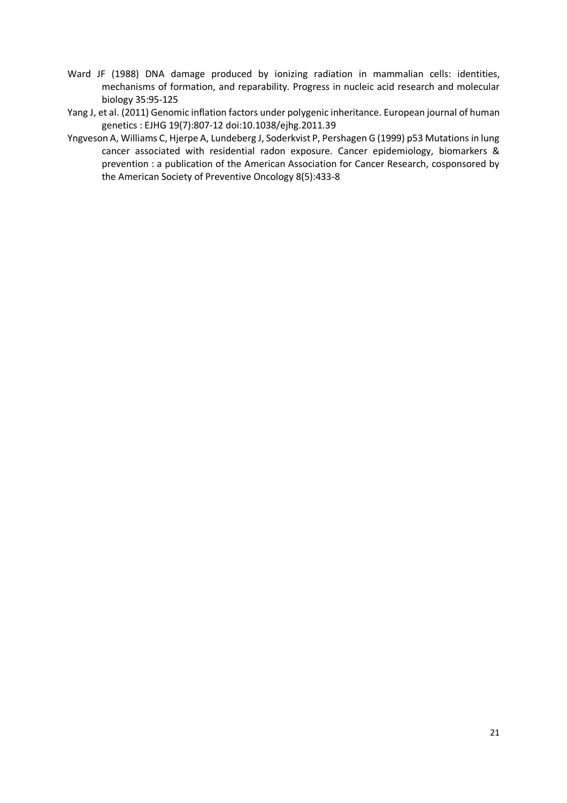- Ward JF (1988) DNA damage produced by ionizing radiation in mammalian cells: identities, mechanisms of formation, and reparability. Progress in nucleic acid research and molecular biology 35:95-125
- Yang J, et al. (2011) Genomic inflation factors under polygenic inheritance. European journal of human genetics : EJHG 19(7):807-12 doi:10.1038/ejhg.2011.39
- Yngveson A, Williams C, Hjerpe A, Lundeberg J, Soderkvist P, Pershagen G (1999) p53 Mutations in lung cancer associated with residential radon exposure. Cancer epidemiology, biomarkers & prevention : a publication of the American Association for Cancer Research, cosponsored by the American Society of Preventive Oncology 8(5):433-8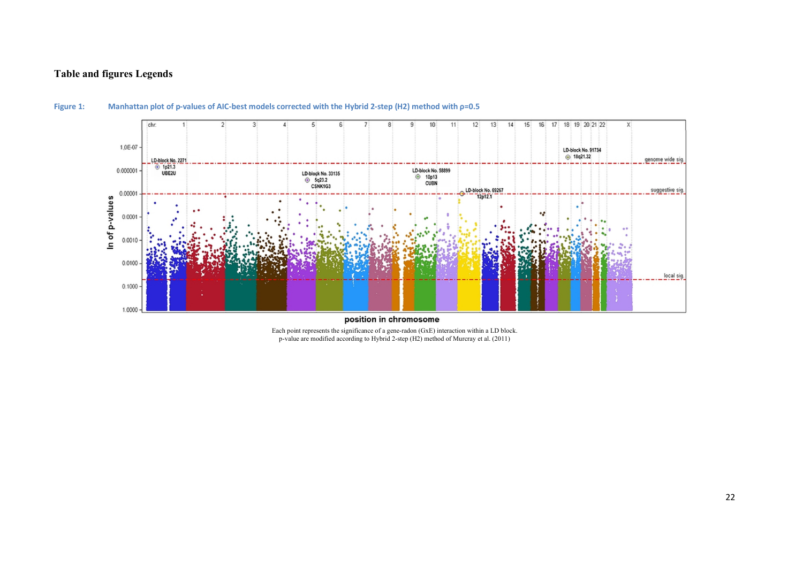## **Table and figures Legends**



## **Figure 1: Manhattan plot of p-values of AIC-best models corrected with the Hybrid 2-step (H2) method with ρ=0.5**

Each point represents the significance of a gene-radon (GxE) interaction within a LD block. p-value are modified according to Hybrid 2-step (H2) method of Murcray et al. (2011)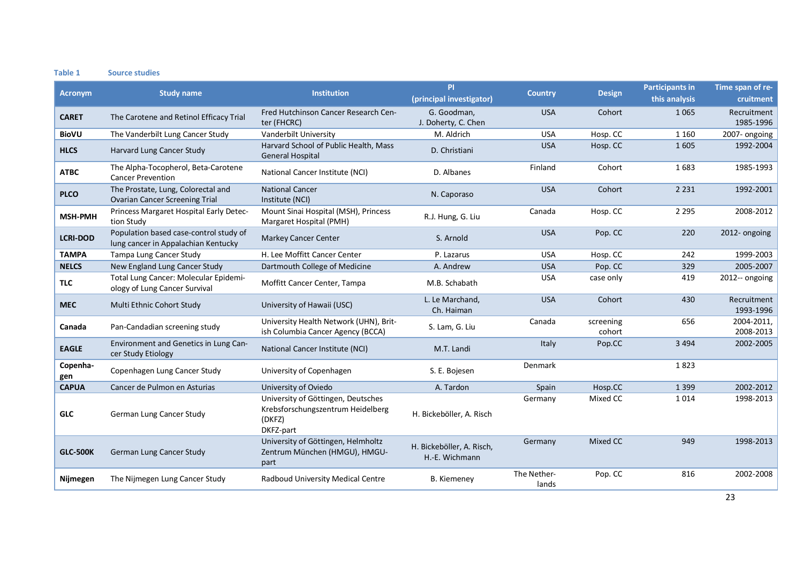#### **Table 1 Source studies**

| <b>Acronym</b>  |                                                                               | <b>Institution</b>                                                                             | <b>PI</b>                                   |                      |                     | <b>Participants in</b> | Time span of re-         |
|-----------------|-------------------------------------------------------------------------------|------------------------------------------------------------------------------------------------|---------------------------------------------|----------------------|---------------------|------------------------|--------------------------|
|                 | <b>Study name</b>                                                             |                                                                                                | (principal investigator)                    | <b>Country</b>       | <b>Design</b>       | this analysis          | cruitment                |
| <b>CARET</b>    | The Carotene and Retinol Efficacy Trial                                       | Fred Hutchinson Cancer Research Cen-                                                           | G. Goodman,                                 | <b>USA</b>           | Cohort              | 1 0 6 5                | Recruitment              |
|                 |                                                                               | ter (FHCRC)                                                                                    | J. Doherty, C. Chen                         |                      |                     |                        | 1985-1996                |
| <b>BioVU</b>    | The Vanderbilt Lung Cancer Study                                              | Vanderbilt University                                                                          | M. Aldrich                                  | <b>USA</b>           | Hosp. CC            | 1 1 6 0                | 2007- ongoing            |
| <b>HLCS</b>     | Harvard Lung Cancer Study                                                     | Harvard School of Public Health, Mass<br><b>General Hospital</b>                               | D. Christiani                               | <b>USA</b>           | Hosp. CC            | 1 6 0 5                | 1992-2004                |
| <b>ATBC</b>     | The Alpha-Tocopherol, Beta-Carotene<br><b>Cancer Prevention</b>               | National Cancer Institute (NCI)                                                                | D. Albanes                                  | Finland              | Cohort              | 1683                   | 1985-1993                |
| <b>PLCO</b>     | The Prostate, Lung, Colorectal and<br><b>Ovarian Cancer Screening Trial</b>   | <b>National Cancer</b><br>Institute (NCI)                                                      | N. Caporaso                                 | <b>USA</b>           | Cohort              | 2 2 3 1                | 1992-2001                |
| <b>MSH-PMH</b>  | Princess Margaret Hospital Early Detec-<br>tion Study                         | Mount Sinai Hospital (MSH), Princess<br>Margaret Hospital (PMH)                                | R.J. Hung, G. Liu                           | Canada               | Hosp. CC            | 2 2 9 5                | 2008-2012                |
| <b>LCRI-DOD</b> | Population based case-control study of<br>lung cancer in Appalachian Kentucky | <b>Markey Cancer Center</b>                                                                    | S. Arnold                                   | <b>USA</b>           | Pop. CC             | 220                    | 2012- ongoing            |
| <b>TAMPA</b>    | Tampa Lung Cancer Study                                                       | H. Lee Moffitt Cancer Center                                                                   | P. Lazarus                                  | <b>USA</b>           | Hosp. CC            | 242                    | 1999-2003                |
| <b>NELCS</b>    | New England Lung Cancer Study                                                 | Dartmouth College of Medicine                                                                  | A. Andrew                                   | <b>USA</b>           | Pop. CC             | 329                    | 2005-2007                |
| <b>TLC</b>      | Total Lung Cancer: Molecular Epidemi-<br>ology of Lung Cancer Survival        | Moffitt Cancer Center, Tampa                                                                   | M.B. Schabath                               | <b>USA</b>           | case only           | 419                    | 2012-- ongoing           |
| <b>MEC</b>      | Multi Ethnic Cohort Study                                                     | University of Hawaii (USC)                                                                     | L. Le Marchand,<br>Ch. Haiman               | <b>USA</b>           | Cohort              | 430                    | Recruitment<br>1993-1996 |
| Canada          | Pan-Candadian screening study                                                 | University Health Network (UHN), Brit-<br>ish Columbia Cancer Agency (BCCA)                    | S. Lam, G. Liu                              | Canada               | screening<br>cohort | 656                    | 2004-2011,<br>2008-2013  |
| <b>EAGLE</b>    | Environment and Genetics in Lung Can-<br>cer Study Etiology                   | National Cancer Institute (NCI)                                                                | M.T. Landi                                  | Italy                | Pop.CC              | 3 4 9 4                | 2002-2005                |
| Copenha-<br>gen | Copenhagen Lung Cancer Study                                                  | University of Copenhagen                                                                       | S. E. Bojesen                               | Denmark              |                     | 1823                   |                          |
| <b>CAPUA</b>    | Cancer de Pulmon en Asturias                                                  | University of Oviedo                                                                           | A. Tardon                                   | Spain                | Hosp.CC             | 1 3 9 9                | 2002-2012                |
| <b>GLC</b>      | German Lung Cancer Study                                                      | University of Göttingen, Deutsches<br>Krebsforschungszentrum Heidelberg<br>(DKFZ)<br>DKFZ-part | H. Bickeböller, A. Risch                    | Germany              | Mixed CC            | 1014                   | 1998-2013                |
| <b>GLC-500K</b> | German Lung Cancer Study                                                      | University of Göttingen, Helmholtz<br>Zentrum München (HMGU), HMGU-<br>part                    | H. Bickeböller, A. Risch,<br>H.-E. Wichmann | Germany              | Mixed CC            | 949                    | 1998-2013                |
| Nijmegen        | The Nijmegen Lung Cancer Study                                                | Radboud University Medical Centre                                                              | <b>B.</b> Kiemeney                          | The Nether-<br>lands | Pop. CC             | 816                    | 2002-2008                |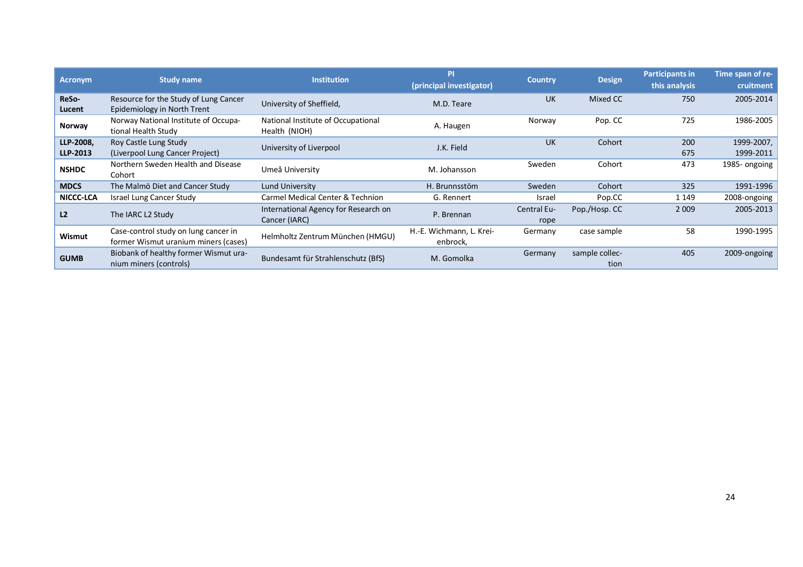| <b>Acronym</b>  | Study name                                                                   | <b>Institution</b>                                  | PI                                   | <b>Country</b> |                        | <b>Participants in</b> | Time span of re- |
|-----------------|------------------------------------------------------------------------------|-----------------------------------------------------|--------------------------------------|----------------|------------------------|------------------------|------------------|
|                 |                                                                              |                                                     | (principal investigator)             |                | <b>Design</b>          | this analysis          | cruitment        |
| ReSo-<br>Lucent | Resource for the Study of Lung Cancer<br>Epidemiology in North Trent         | University of Sheffield,                            | M.D. Teare                           | <b>UK</b>      | Mixed CC               | 750                    | 2005-2014        |
| Norway          | Norway National Institute of Occupa-<br>tional Health Study                  | National Institute of Occupational<br>Health (NIOH) | A. Haugen                            | Norway         | Pop. CC                | 725                    | 1986-2005        |
| LLP-2008,       | Roy Castle Lung Study                                                        | University of Liverpool                             | J.K. Field                           | <b>UK</b>      | Cohort                 | 200                    | 1999-2007,       |
| LLP-2013        | (Liverpool Lung Cancer Project)                                              |                                                     |                                      |                |                        | 675                    | 1999-2011        |
| <b>NSHDC</b>    | Northern Sweden Health and Disease<br>Cohort                                 | Umeå University                                     | M. Johansson                         | Sweden         | Cohort                 | 473                    | 1985-ongoing     |
| <b>MDCS</b>     | The Malmö Diet and Cancer Study                                              | Lund University                                     | H. Brunnsstöm                        | Sweden         | Cohort                 | 325                    | 1991-1996        |
| NICCC-LCA       | Israel Lung Cancer Study                                                     | Carmel Medical Center & Technion                    | G. Rennert                           | Israel         | Pop.CC                 | 1 1 4 9                | 2008-ongoing     |
| L <sub>2</sub>  | The IARC L2 Study                                                            | International Agency for Research on                | P. Brennan                           | Central Eu-    | Pop./Hosp. CC          | 2 0 0 9                | 2005-2013        |
|                 |                                                                              | Cancer (IARC)                                       |                                      | rope           |                        |                        |                  |
| Wismut          | Case-control study on lung cancer in<br>former Wismut uranium miners (cases) | Helmholtz Zentrum München (HMGU)                    | H.-E. Wichmann, L. Krei-<br>enbrock, | Germany        | case sample            | 58                     | 1990-1995        |
| <b>GUMB</b>     | Biobank of healthy former Wismut ura-<br>nium miners (controls)              | Bundesamt für Strahlenschutz (BfS)                  | M. Gomolka                           | Germany        | sample collec-<br>tion | 405                    | 2009-ongoing     |